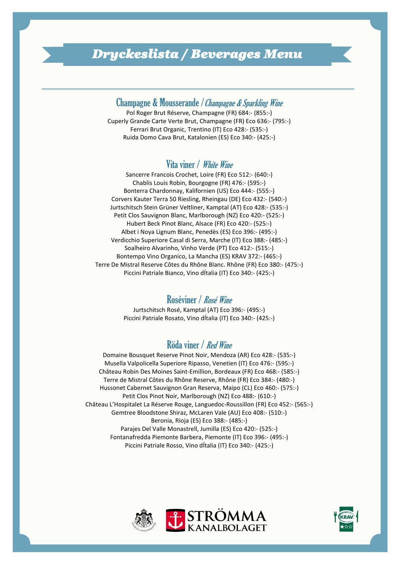## *Dryckeslista / Beverages Menu*

## Champagne & Mousserande /Champagne & Sparkling Wine

Pol Roger Brut Réserve, Champagne (FR) 684:- (855:-) Cuperly Grande Carte Verte Brut, Champagne (FR) Eco 636:- (795:-) Ferrari Brut Organic, Trentino (IT) Eco 428:- (535:-) Ruida Domo Cava Brut, Katalonien (ES) Eco 340:- (425:-)

#### Vita viner / White Wine

Sancerre Francois Crochet, Loire (FR) Eco 512:- (640:-) Chablis Louis Robin, Bourgogne (FR) 476:- (595:-) Bonterra Chardonnay, Kalifornien (US) Eco 444:- (555:-) Corvers Kauter Terra 50 Riesling, Rheingau (DE) Eco 432:- (540:-) Jurtschitsch Stein Grüner Veltliner, Kamptal (AT) Eco 428:- (535:-) Petit Clos Sauvignon Blanc, Marlborough (NZ) Eco 420:- (525:-) Hubert Beck Pinot Blanc, Alsace (FR) Eco 420:- (525:-) Albet i Noya Lignum Blanc, Penedès (ES) Eco 396:- (495:-) Verdicchio Superiore Casal di Serra, Marche (IT) Eco 388:- (485:-) Soalheiro Alvarinho, Vinho Verde (PT) Eco 412:- (515:-) Bontempo Vino Organico, La Mancha (ES) KRAV 372:- (465:-) Terre De Mistral Reserve Côtes du Rhône Blanc. Rhône (FR) Eco 380:- (475:-) Piccini Patriale Bianco, Vino dÍtalia (IT) Eco 340:- (425:-)

#### Roséviner / Rosé Wine

Jurtschitsch Rosé, Kamptal (AT) Eco 396:- (495:-) Piccini Patriale Rosato, Vino dÍtalia (IT) Eco 340:- (425:-)

#### Röda viner / Red Wine

Domaine Bousquet Reserve Pinot Noir, Mendoza (AR) Eco 428:- (535:-) Musella Valpolicella Superiore Ripasso, Venetien (IT) Eco 476:- (595:-) Château Robin Des Moines Saint-Emillion, Bordeaux (FR) Eco 468:- (585:-) Terre de Mistral Côtes du Rhône Reserve, Rhône (FR) Eco 384:- (480:-) Hussonet Cabernet Sauvignon Gran Reserva, Maipo (CL) Eco 460:- (575:-) Petit Clos Pinot Noir, Marlborough (NZ) Eco 488:- (610:-) Château L'Hospitalet La Réserve Rouge, Languedoc-Roussillon (FR) Eco 452:- (565:-) Gemtree Bloodstone Shiraz, McLaren Vale (AU) Eco 408:- (510:-) Beronia, Rioja (ES) Eco 388:- (485:-) Parajes Del Valle Monastrell, Jumilla (ES) Eco 420:- (525:-) Fontanafredda Piemonte Barbera, Piemonte (IT) Eco 396:- (495:-) Piccini Patriale Rosso, Vino dÍtalia (IT) Eco 340:- (425:-)



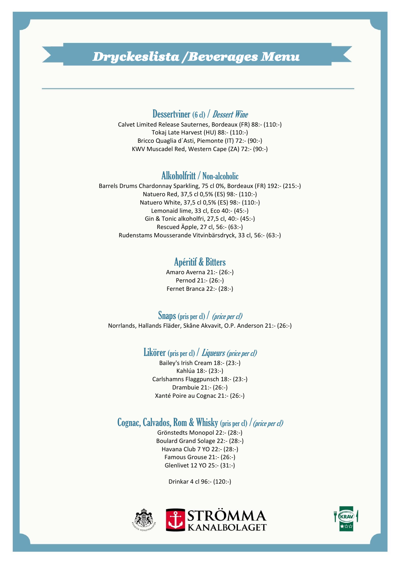# *Dryckeslista /Beverages Menu*

#### Dessertviner (6 cl) / Dessert Wine

Calvet Limited Release Sauternes, Bordeaux (FR) 88:- (110:-) Tokaj Late Harvest (HU) 88:- (110:-) Bricco Quaglia d´Asti, Piemonte (IT) 72:- (90:-) KWV Muscadel Red, Western Cape (ZA) 72:- (90:-)

#### Alkoholfritt / Non-alcoholic

Barrels Drums Chardonnay Sparkling, 75 cl 0%, Bordeaux (FR) 192:- (215:-) Natuero Red, 37,5 cl 0,5% (ES) 98:- (110:-) Natuero White, 37,5 cl 0,5% (ES) 98:- (110:-) Lemonaid lime, 33 cl, Eco 40:- (45:-) Gin & Tonic alkoholfri, 27,5 cl, 40:- (45:-) Rescued Äpple, 27 cl, 56:- (63:-) Rudenstams Mousserande Vitvinbärsdryck, 33 cl, 56:- (63:-)

## Apéritif & Bitters

Amaro Averna 21:- (26:-) Pernod 21:- (26:-) Fernet Branca 22:- (28:-)

#### Snaps (pris per cl) / *(price per cl)*

Norrlands, Hallands Fläder, Skåne Akvavit, O.P. Anderson 21:- (26:-)

#### Likörer (pris per cl) / *Liqueurs (price per cl)*

Bailey's Irish Cream 18:- (23:-) Kahlúa 18:- (23:-) Carlshamns Flaggpunsch 18:- (23:-) Drambuie 21:- (26:-) Xanté Poire au Cognac 21:- (26:-)

### Cognac, Calvados, Rom & Whisky (pris per cl) /(price per cl)

Grönstedts Monopol 22:- (28:-) Boulard Grand Solage 22:- (28:-) Havana Club 7 YO 22:- (28:-) Famous Grouse 21:- (26:-) Glenlivet 12 YO 25:- (31:-)

Drinkar 4 cl 96:- (120:-)